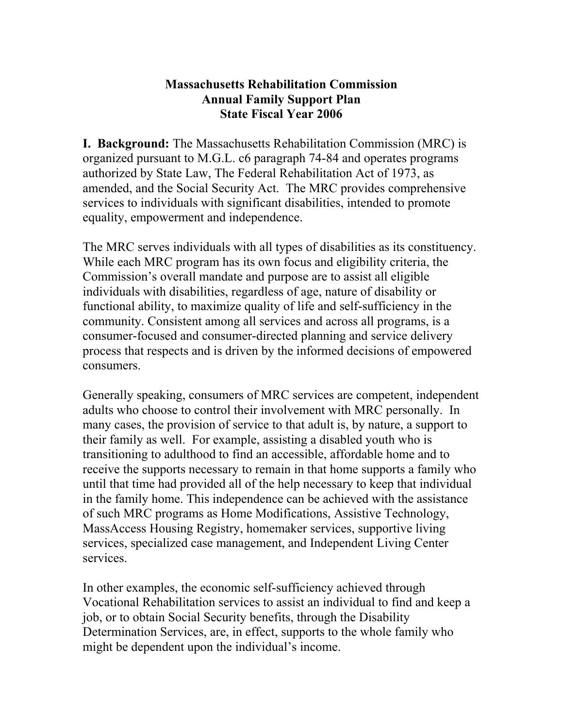## **Massachusetts Rehabilitation Commission Annual Family Support Plan State Fiscal Year 2006**

**I. Background:** The Massachusetts Rehabilitation Commission (MRC) is organized pursuant to M.G.L. c6 paragraph 74-84 and operates programs authorized by State Law, The Federal Rehabilitation Act of 1973, as amended, and the Social Security Act. The MRC provides comprehensive services to individuals with significant disabilities, intended to promote equality, empowerment and independence.

The MRC serves individuals with all types of disabilities as its constituency. While each MRC program has its own focus and eligibility criteria, the Commission's overall mandate and purpose are to assist all eligible individuals with disabilities, regardless of age, nature of disability or functional ability, to maximize quality of life and self-sufficiency in the community. Consistent among all services and across all programs, is a consumer-focused and consumer-directed planning and service delivery process that respects and is driven by the informed decisions of empowered consumers.

Generally speaking, consumers of MRC services are competent, independent adults who choose to control their involvement with MRC personally. In many cases, the provision of service to that adult is, by nature, a support to their family as well. For example, assisting a disabled youth who is transitioning to adulthood to find an accessible, affordable home and to receive the supports necessary to remain in that home supports a family who until that time had provided all of the help necessary to keep that individual in the family home. This independence can be achieved with the assistance of such MRC programs as Home Modifications, Assistive Technology, MassAccess Housing Registry, homemaker services, supportive living services, specialized case management, and Independent Living Center services.

In other examples, the economic self-sufficiency achieved through Vocational Rehabilitation services to assist an individual to find and keep a job, or to obtain Social Security benefits, through the Disability Determination Services, are, in effect, supports to the whole family who might be dependent upon the individual's income.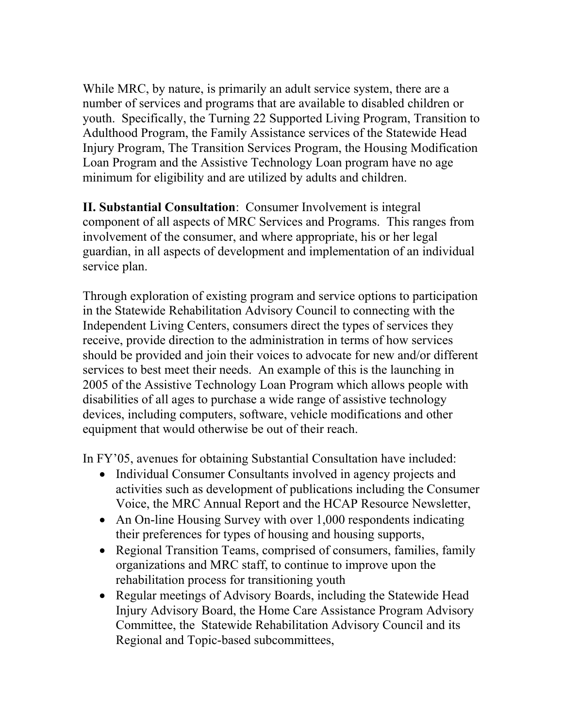While MRC, by nature, is primarily an adult service system, there are a number of services and programs that are available to disabled children or youth. Specifically, the Turning 22 Supported Living Program, Transition to Adulthood Program, the Family Assistance services of the Statewide Head Injury Program, The Transition Services Program, the Housing Modification Loan Program and the Assistive Technology Loan program have no age minimum for eligibility and are utilized by adults and children.

**II. Substantial Consultation**: Consumer Involvement is integral component of all aspects of MRC Services and Programs. This ranges from involvement of the consumer, and where appropriate, his or her legal guardian, in all aspects of development and implementation of an individual service plan.

Through exploration of existing program and service options to participation in the Statewide Rehabilitation Advisory Council to connecting with the Independent Living Centers, consumers direct the types of services they receive, provide direction to the administration in terms of how services should be provided and join their voices to advocate for new and/or different services to best meet their needs. An example of this is the launching in 2005 of the Assistive Technology Loan Program which allows people with disabilities of all ages to purchase a wide range of assistive technology devices, including computers, software, vehicle modifications and other equipment that would otherwise be out of their reach.

In FY'05, avenues for obtaining Substantial Consultation have included:

- Individual Consumer Consultants involved in agency projects and activities such as development of publications including the Consumer Voice, the MRC Annual Report and the HCAP Resource Newsletter,
- An On-line Housing Survey with over 1,000 respondents indicating their preferences for types of housing and housing supports,
- Regional Transition Teams, comprised of consumers, families, family organizations and MRC staff, to continue to improve upon the rehabilitation process for transitioning youth
- Regular meetings of Advisory Boards, including the Statewide Head Injury Advisory Board, the Home Care Assistance Program Advisory Committee, the Statewide Rehabilitation Advisory Council and its Regional and Topic-based subcommittees,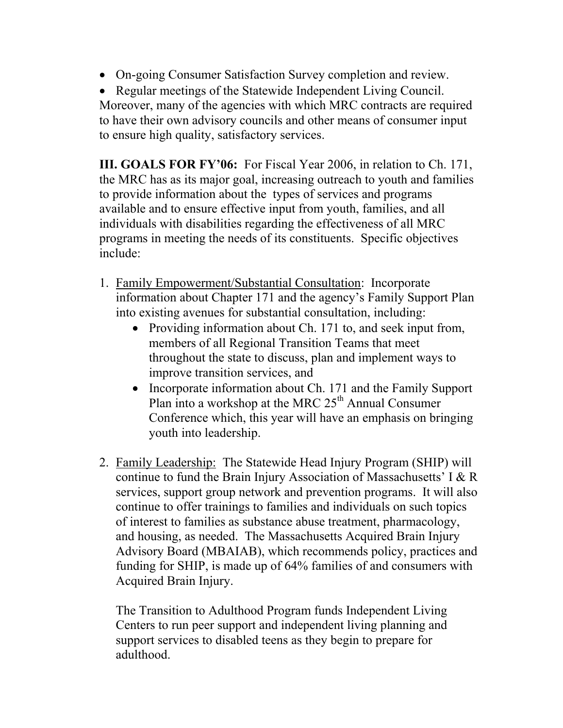• On-going Consumer Satisfaction Survey completion and review.

• Regular meetings of the Statewide Independent Living Council. Moreover, many of the agencies with which MRC contracts are required to have their own advisory councils and other means of consumer input to ensure high quality, satisfactory services.

**III. GOALS FOR FY'06:** For Fiscal Year 2006, in relation to Ch. 171, the MRC has as its major goal, increasing outreach to youth and families to provide information about the types of services and programs available and to ensure effective input from youth, families, and all individuals with disabilities regarding the effectiveness of all MRC programs in meeting the needs of its constituents. Specific objectives include:

- 1. Family Empowerment/Substantial Consultation: Incorporate information about Chapter 171 and the agency's Family Support Plan into existing avenues for substantial consultation, including:
	- Providing information about Ch. 171 to, and seek input from, members of all Regional Transition Teams that meet throughout the state to discuss, plan and implement ways to improve transition services, and
	- Incorporate information about Ch. 171 and the Family Support Plan into a workshop at the MRC  $25<sup>th</sup>$  Annual Consumer Conference which, this year will have an emphasis on bringing youth into leadership.
- 2. Family Leadership: The Statewide Head Injury Program (SHIP) will continue to fund the Brain Injury Association of Massachusetts' I & R services, support group network and prevention programs. It will also continue to offer trainings to families and individuals on such topics of interest to families as substance abuse treatment, pharmacology, and housing, as needed. The Massachusetts Acquired Brain Injury Advisory Board (MBAIAB), which recommends policy, practices and funding for SHIP, is made up of 64% families of and consumers with Acquired Brain Injury.

The Transition to Adulthood Program funds Independent Living Centers to run peer support and independent living planning and support services to disabled teens as they begin to prepare for adulthood.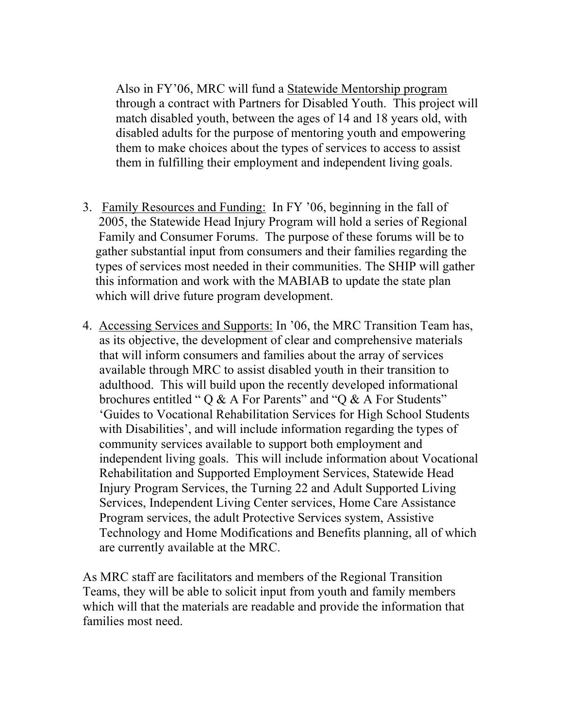Also in FY'06, MRC will fund a Statewide Mentorship program through a contract with Partners for Disabled Youth. This project will match disabled youth, between the ages of 14 and 18 years old, with disabled adults for the purpose of mentoring youth and empowering them to make choices about the types of services to access to assist them in fulfilling their employment and independent living goals.

- 3. Family Resources and Funding: In FY '06, beginning in the fall of 2005, the Statewide Head Injury Program will hold a series of Regional Family and Consumer Forums. The purpose of these forums will be to gather substantial input from consumers and their families regarding the types of services most needed in their communities. The SHIP will gather this information and work with the MABIAB to update the state plan which will drive future program development.
- 4. Accessing Services and Supports: In '06, the MRC Transition Team has, as its objective, the development of clear and comprehensive materials that will inform consumers and families about the array of services available through MRC to assist disabled youth in their transition to adulthood. This will build upon the recently developed informational brochures entitled "  $\sigma \& A$  For Parents" and " $\sigma \& A$  For Students" 'Guides to Vocational Rehabilitation Services for High School Students with Disabilities', and will include information regarding the types of community services available to support both employment and independent living goals. This will include information about Vocational Rehabilitation and Supported Employment Services, Statewide Head Injury Program Services, the Turning 22 and Adult Supported Living Services, Independent Living Center services, Home Care Assistance Program services, the adult Protective Services system, Assistive Technology and Home Modifications and Benefits planning, all of which are currently available at the MRC.

As MRC staff are facilitators and members of the Regional Transition Teams, they will be able to solicit input from youth and family members which will that the materials are readable and provide the information that families most need.